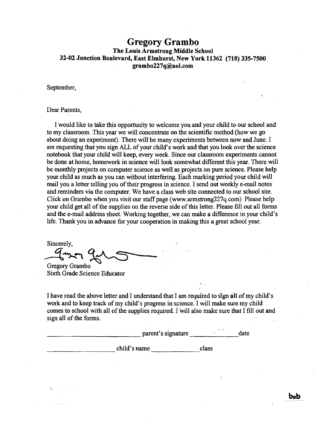## **Gregory Grambo**  The Louis Armstrong Middle School 32-02 Junction Boulevard, East Elmhurst, New York 11362 (718) 335-7500 grambo227q@aol.com

September,

## Dear Parents,

I would like to take this opportunity to welcome you and your child to our school and' to my classroom. This year we will concentrate on the scientific method(how we go about doing an experiment). There will be many experiments between now and June. I am requesting that you sign ALL of your child's work and that you look over the science notebook that your child will keep, every week. Since our classroom experiments cannot be done at home, homework in science will look somewhat different this year. There will be monthly projects on computer science as well as projects on pure science. Please help your child as much as you can without interfering. Each marking period your child will mail you a letter telling you of their progress in science. I send out weeklye-mail notes and reminders via the computer. We have a class web site connected to our school site. Click on Grambo when you visit our staff page (www.armstrong227q.com) Please help your child get all of the supplies on the reverse side of this letter. Please fill out all forms and the e-mail address sheet. Working together, we can make a difference in your child's life. Thank you in advance for your cooperation in making this a great school year.

Sincerely,

 $q_{\rm max}$   $q_{\rm c}$ Gregory Grambo . Sixth Grade Science Educator

I have read the above letter and I understand that I am required to sign all.of my child's work and to keep track of my child's progress in science. I will make sure my child comes to school with all of the supplies required. I will also make sure that I fill out and sign all of the forms.

|              | parent's signature | $\mathbf{r}_1$<br>date |
|--------------|--------------------|------------------------|
| child's name | class              |                        |